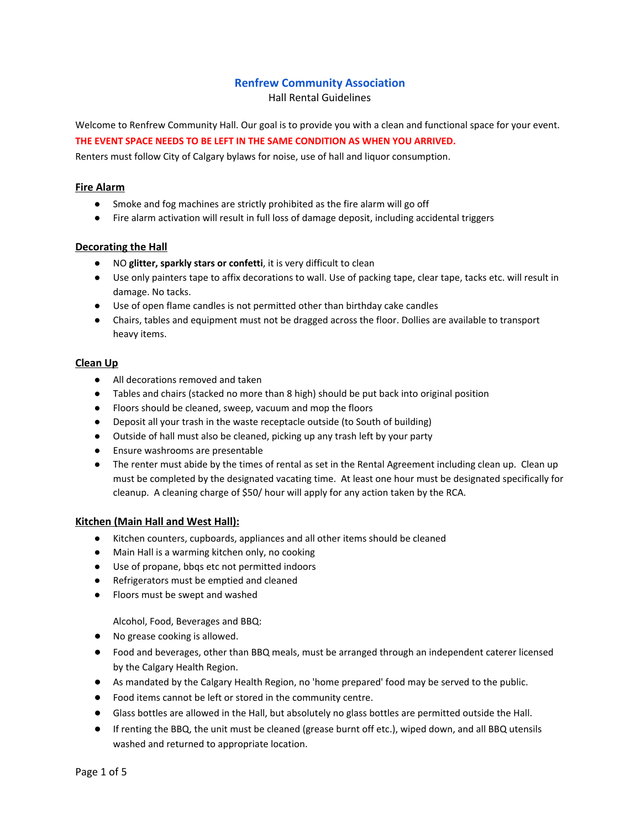# **Renfrew Community Association**

Hall Rental Guidelines

Welcome to Renfrew Community Hall. Our goal is to provide you with a clean and functional space for your event. **THE EVENT SPACE NEEDS TO BE LEFT IN THE SAME CONDITION AS WHEN YOU ARRIVED.**

Renters must follow City of Calgary bylaws for noise, use of hall and liquor consumption.

## **Fire Alarm**

- Smoke and fog machines are strictly prohibited as the fire alarm will go off
- Fire alarm activation will result in full loss of damage deposit, including accidental triggers

# **Decorating the Hall**

- NO **glitter, sparkly stars or confetti**, it is very difficult to clean
- Use only painters tape to affix decorations to wall. Use of packing tape, clear tape, tacks etc. will result in damage. No tacks.
- Use of open flame candles is not permitted other than birthday cake candles
- Chairs, tables and equipment must not be dragged across the floor. Dollies are available to transport heavy items.

# **Clean Up**

- All decorations removed and taken
- Tables and chairs (stacked no more than 8 high) should be put back into original position
- Floors should be cleaned, sweep, vacuum and mop the floors
- Deposit all your trash in the waste receptacle outside (to South of building)
- Outside of hall must also be cleaned, picking up any trash left by your party
- Ensure washrooms are presentable
- The renter must abide by the times of rental as set in the Rental Agreement including clean up. Clean up must be completed by the designated vacating time. At least one hour must be designated specifically for cleanup. A cleaning charge of \$50/ hour will apply for any action taken by the RCA.

## **Kitchen (Main Hall and West Hall):**

- Kitchen counters, cupboards, appliances and all other items should be cleaned
- Main Hall is a warming kitchen only, no cooking
- **●** Use of propane, bbqs etc not permitted indoors
- **●** Refrigerators must be emptied and cleaned
- **●** Floors must be swept and washed

Alcohol, Food, Beverages and BBQ:

- **●** No grease cooking is allowed.
- **●** Food and beverages, other than BBQ meals, must be arranged through an independent caterer licensed by the Calgary Health Region.
- **●** As mandated by the Calgary Health Region, no 'home prepared' food may be served to the public.
- **●** Food items cannot be left or stored in the community centre.
- **●** Glass bottles are allowed in the Hall, but absolutely no glass bottles are permitted outside the Hall.
- **●** If renting the BBQ, the unit must be cleaned (grease burnt off etc.), wiped down, and all BBQ utensils washed and returned to appropriate location.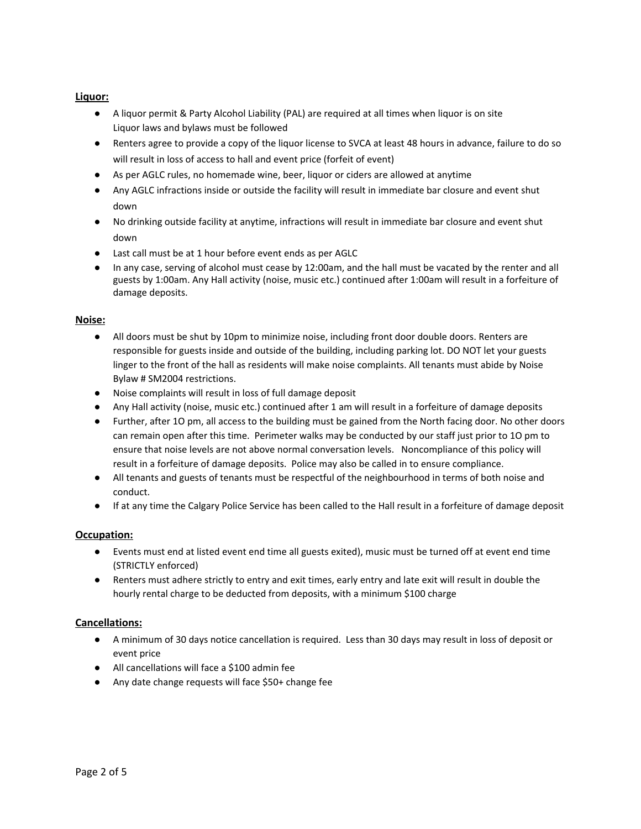# **Liquor:**

- A liquor permit & Party Alcohol Liability (PAL) are required at all times when liquor is on site Liquor laws and bylaws must be followed
- Renters agree to provide a copy of the liquor license to SVCA at least 48 hours in advance, failure to do so will result in loss of access to hall and event price (forfeit of event)
- As per AGLC rules, no homemade wine, beer, liquor or ciders are allowed at anytime
- Any AGLC infractions inside or outside the facility will result in immediate bar closure and event shut down
- No drinking outside facility at anytime, infractions will result in immediate bar closure and event shut down
- Last call must be at 1 hour before event ends as per AGLC
- In any case, serving of alcohol must cease by 12:00am, and the hall must be vacated by the renter and all guests by 1:00am. Any Hall activity (noise, music etc.) continued after 1:00am will result in a forfeiture of damage deposits.

## **Noise:**

- All doors must be shut by 10pm to minimize noise, including front door double doors. Renters are responsible for guests inside and outside of the building, including parking lot. DO NOT let your guests linger to the front of the hall as residents will make noise complaints. All tenants must abide by Noise Bylaw # SM2004 restrictions.
- Noise complaints will result in loss of full damage deposit
- Any Hall activity (noise, music etc.) continued after 1 am will result in a forfeiture of damage deposits
- Further, after 1O pm, all access to the building must be gained from the North facing door. No other doors can remain open after this time. Perimeter walks may be conducted by our staff just prior to 1O pm to ensure that noise levels are not above normal conversation levels. Noncompliance of this policy will result in a forfeiture of damage deposits. Police may also be called in to ensure compliance.
- All tenants and guests of tenants must be respectful of the neighbourhood in terms of both noise and conduct.
- If at any time the Calgary Police Service has been called to the Hall result in a forfeiture of damage deposit

## **Occupation:**

- Events must end at listed event end time all guests exited), music must be turned off at event end time (STRICTLY enforced)
- Renters must adhere strictly to entry and exit times, early entry and late exit will result in double the hourly rental charge to be deducted from deposits, with a minimum \$100 charge

## **Cancellations:**

- A minimum of 30 days notice cancellation is required. Less than 30 days may result in loss of deposit or event price
- All cancellations will face a \$100 admin fee
- Any date change requests will face \$50+ change fee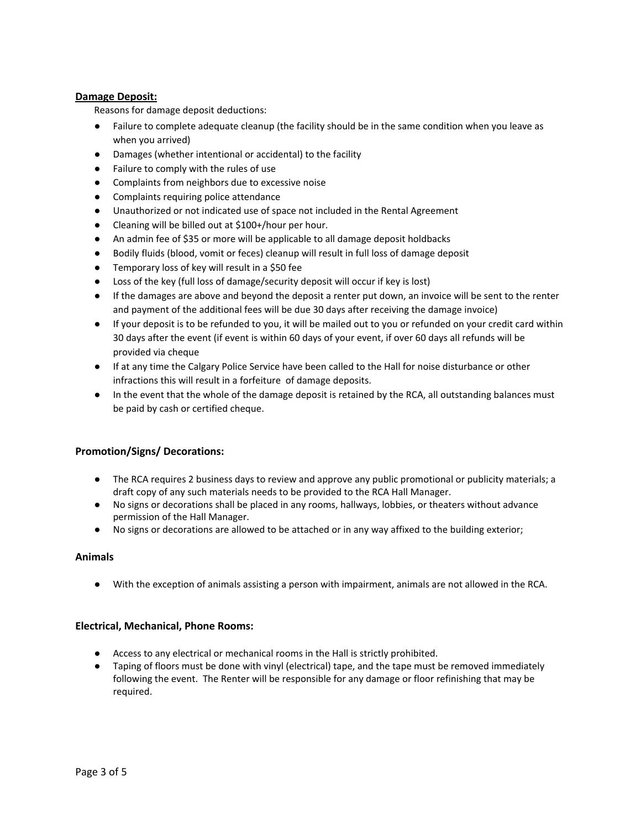# **Damage Deposit:**

Reasons for damage deposit deductions:

- Failure to complete adequate cleanup (the facility should be in the same condition when you leave as when you arrived)
- Damages (whether intentional or accidental) to the facility
- Failure to comply with the rules of use
- Complaints from neighbors due to excessive noise
- Complaints requiring police attendance
- Unauthorized or not indicated use of space not included in the Rental Agreement
- Cleaning will be billed out at \$100+/hour per hour.
- An admin fee of \$35 or more will be applicable to all damage deposit holdbacks
- Bodily fluids (blood, vomit or feces) cleanup will result in full loss of damage deposit
- Temporary loss of key will result in a \$50 fee
- Loss of the key (full loss of damage/security deposit will occur if key is lost)
- If the damages are above and beyond the deposit a renter put down, an invoice will be sent to the renter and payment of the additional fees will be due 30 days after receiving the damage invoice)
- If your deposit is to be refunded to you, it will be mailed out to you or refunded on your credit card within 30 days after the event (if event is within 60 days of your event, if over 60 days all refunds will be provided via cheque
- If at any time the Calgary Police Service have been called to the Hall for noise disturbance or other infractions this will result in a forfeiture of damage deposits.
- In the event that the whole of the damage deposit is retained by the RCA, all outstanding balances must be paid by cash or certified cheque.

# **Promotion/Signs/ Decorations:**

- The RCA requires 2 business days to review and approve any public promotional or publicity materials; a draft copy of any such materials needs to be provided to the RCA Hall Manager.
- No signs or decorations shall be placed in any rooms, hallways, lobbies, or theaters without advance permission of the Hall Manager.
- No signs or decorations are allowed to be attached or in any way affixed to the building exterior;

## **Animals**

● With the exception of animals assisting a person with impairment, animals are not allowed in the RCA.

## **Electrical, Mechanical, Phone Rooms:**

- Access to any electrical or mechanical rooms in the Hall is strictly prohibited.
- Taping of floors must be done with vinyl (electrical) tape, and the tape must be removed immediately following the event. The Renter will be responsible for any damage or floor refinishing that may be required.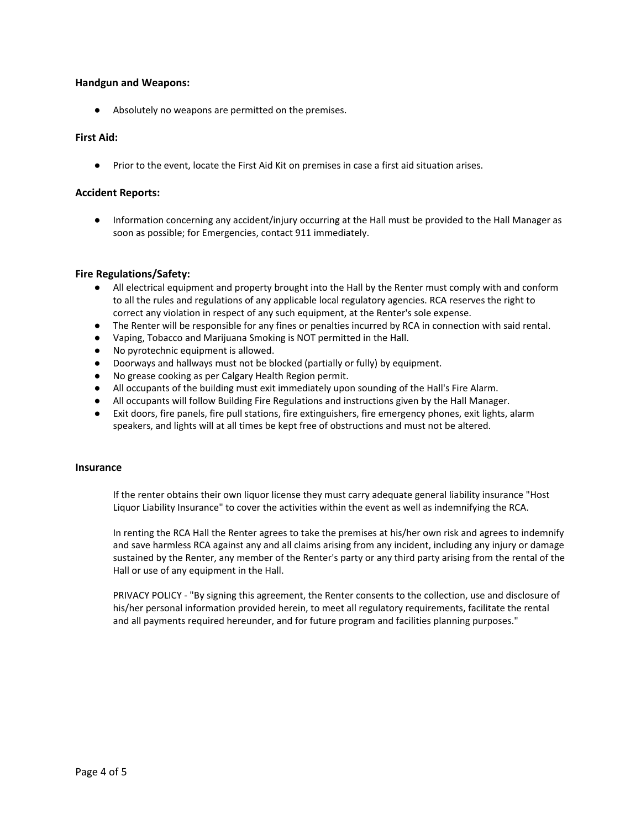### **Handgun and Weapons:**

● Absolutely no weapons are permitted on the premises.

### **First Aid:**

● Prior to the event, locate the First Aid Kit on premises in case a first aid situation arises.

#### **Accident Reports:**

● Information concerning any accident/injury occurring at the Hall must be provided to the Hall Manager as soon as possible; for Emergencies, contact 911 immediately.

### **Fire Regulations/Safety:**

- All electrical equipment and property brought into the Hall by the Renter must comply with and conform to all the rules and regulations of any applicable local regulatory agencies. RCA reserves the right to correct any violation in respect of any such equipment, at the Renter's sole expense.
- The Renter will be responsible for any fines or penalties incurred by RCA in connection with said rental.
- Vaping, Tobacco and Marijuana Smoking is NOT permitted in the Hall.
- No pyrotechnic equipment is allowed.
- Doorways and hallways must not be blocked (partially or fully) by equipment.
- No grease cooking as per Calgary Health Region permit.
- All occupants of the building must exit immediately upon sounding of the Hall's Fire Alarm.
- All occupants will follow Building Fire Regulations and instructions given by the Hall Manager.
- Exit doors, fire panels, fire pull stations, fire extinguishers, fire emergency phones, exit lights, alarm speakers, and lights will at all times be kept free of obstructions and must not be altered.

#### **Insurance**

If the renter obtains their own liquor license they must carry adequate general liability insurance "Host Liquor Liability Insurance" to cover the activities within the event as well as indemnifying the RCA.

In renting the RCA Hall the Renter agrees to take the premises at his/her own risk and agrees to indemnify and save harmless RCA against any and all claims arising from any incident, including any injury or damage sustained by the Renter, any member of the Renter's party or any third party arising from the rental of the Hall or use of any equipment in the Hall.

PRIVACY POLICY - "By signing this agreement, the Renter consents to the collection, use and disclosure of his/her personal information provided herein, to meet all regulatory requirements, facilitate the rental and all payments required hereunder, and for future program and facilities planning purposes."